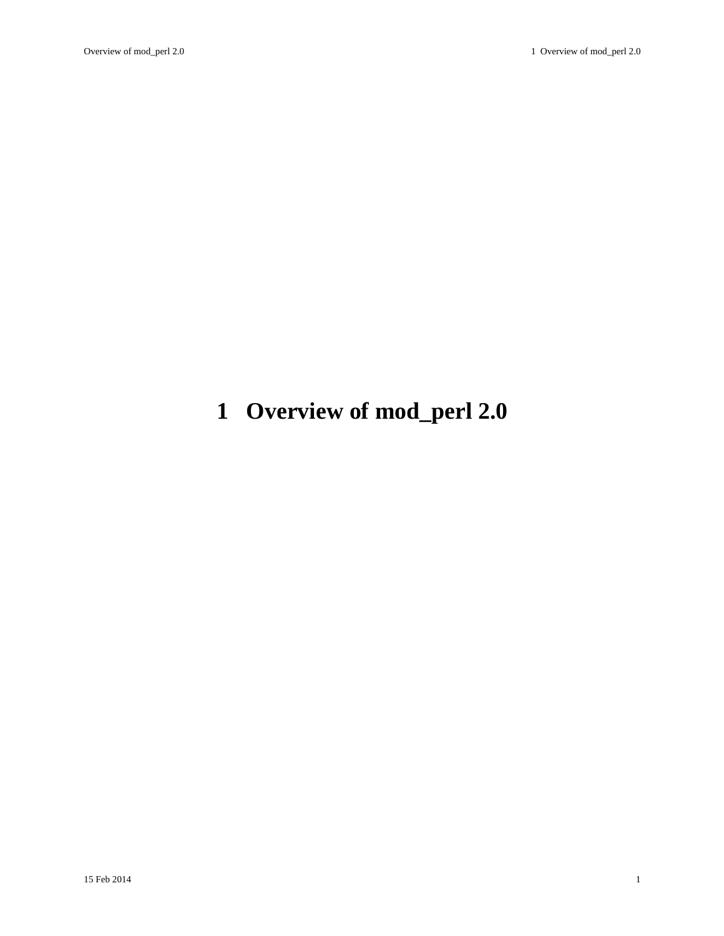# <span id="page-0-0"></span>**1 Overview of mod\_perl 2.0**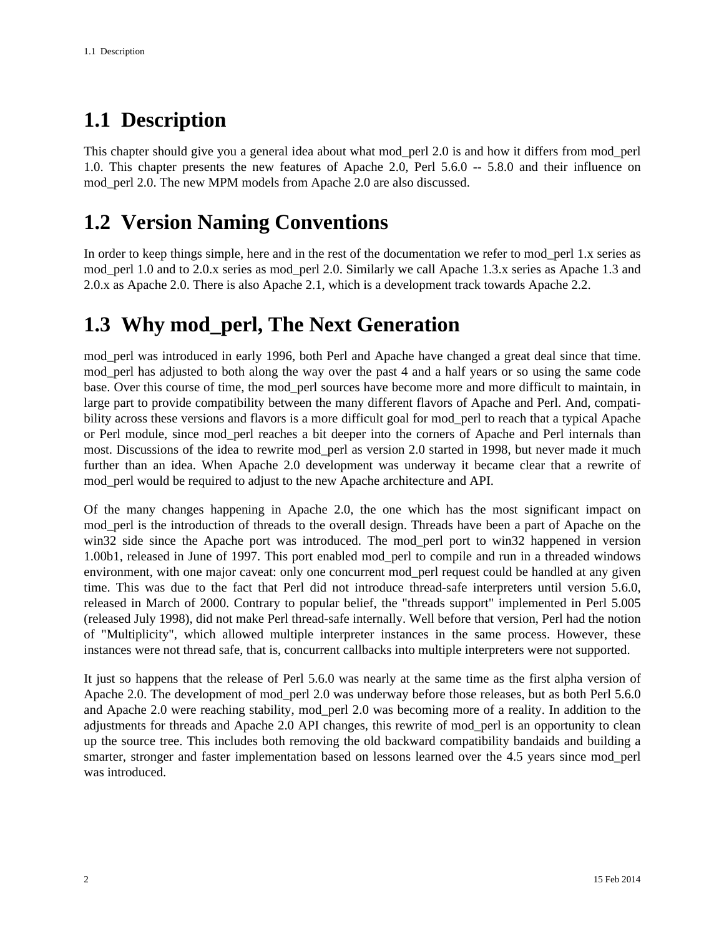# <span id="page-1-0"></span>**1.1 Description**

This chapter should give you a general idea about what mod\_perl 2.0 is and how it differs from mod\_perl 1.0. This chapter presents the new features of Apache 2.0, Perl 5.6.0 -- 5.8.0 and their influence on mod perl 2.0. The new MPM models from Apache 2.0 are also discussed.

## <span id="page-1-1"></span>**1.2 Version Naming Conventions**

In order to keep things simple, here and in the rest of the documentation we refer to mod\_perl 1.x series as mod perl 1.0 and to 2.0.x series as mod perl 2.0. Similarly we call Apache 1.3.x series as Apache 1.3 and 2.0.x as Apache 2.0. There is also Apache 2.1, which is a development track towards Apache 2.2.

# <span id="page-1-2"></span>**1.3 Why mod\_perl, The Next Generation**

mod\_perl was introduced in early 1996, both Perl and Apache have changed a great deal since that time. mod\_perl has adjusted to both along the way over the past 4 and a half years or so using the same code base. Over this course of time, the mod\_perl sources have become more and more difficult to maintain, in large part to provide compatibility between the many different flavors of Apache and Perl. And, compatibility across these versions and flavors is a more difficult goal for mod\_perl to reach that a typical Apache or Perl module, since mod\_perl reaches a bit deeper into the corners of Apache and Perl internals than most. Discussions of the idea to rewrite mod\_perl as version 2.0 started in 1998, but never made it much further than an idea. When Apache 2.0 development was underway it became clear that a rewrite of mod\_perl would be required to adjust to the new Apache architecture and API.

Of the many changes happening in Apache 2.0, the one which has the most significant impact on mod\_perl is the introduction of threads to the overall design. Threads have been a part of Apache on the win32 side since the Apache port was introduced. The mod perl port to win32 happened in version 1.00b1, released in June of 1997. This port enabled mod\_perl to compile and run in a threaded windows environment, with one major caveat: only one concurrent mod\_perl request could be handled at any given time. This was due to the fact that Perl did not introduce thread-safe interpreters until version 5.6.0, released in March of 2000. Contrary to popular belief, the "threads support" implemented in Perl 5.005 (released July 1998), did not make Perl thread-safe internally. Well before that version, Perl had the notion of "Multiplicity", which allowed multiple interpreter instances in the same process. However, these instances were not thread safe, that is, concurrent callbacks into multiple interpreters were not supported.

It just so happens that the release of Perl 5.6.0 was nearly at the same time as the first alpha version of Apache 2.0. The development of mod\_perl 2.0 was underway before those releases, but as both Perl 5.6.0 and Apache 2.0 were reaching stability, mod\_perl 2.0 was becoming more of a reality. In addition to the adjustments for threads and Apache 2.0 API changes, this rewrite of mod\_perl is an opportunity to clean up the source tree. This includes both removing the old backward compatibility bandaids and building a smarter, stronger and faster implementation based on lessons learned over the 4.5 years since mod\_perl was introduced.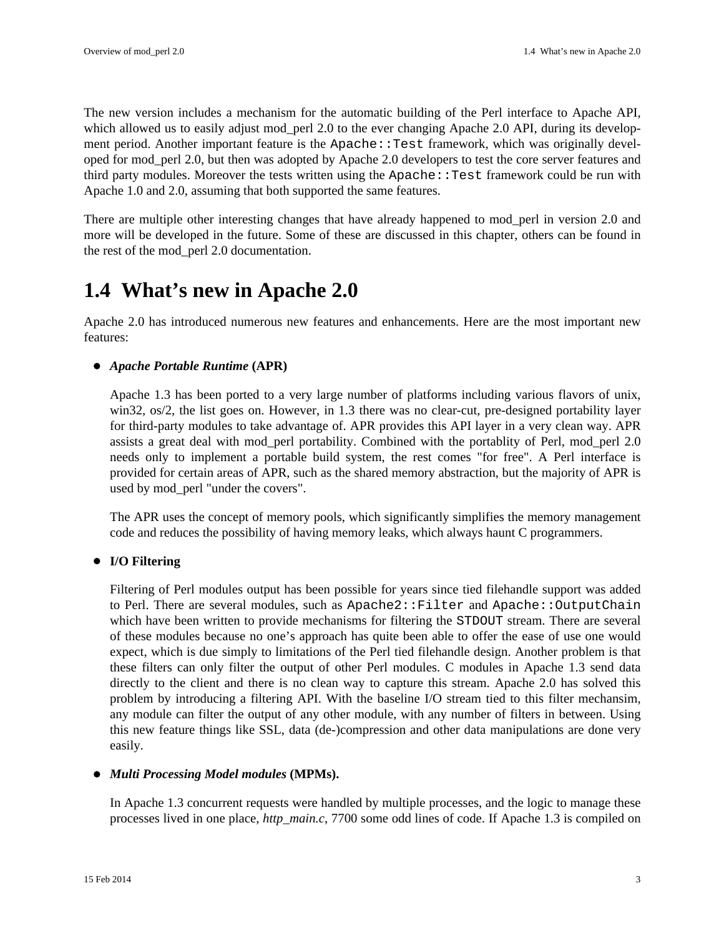The new version includes a mechanism for the automatic building of the Perl interface to Apache API, which allowed us to easily adjust mod\_perl 2.0 to the ever changing Apache 2.0 API, during its development period. Another important feature is the Apache::Test framework, which was originally developed for mod\_perl 2.0, but then was adopted by Apache 2.0 developers to test the core server features and third party modules. Moreover the tests written using the Apache: : Test framework could be run with Apache 1.0 and 2.0, assuming that both supported the same features.

There are multiple other interesting changes that have already happened to mod\_perl in version 2.0 and more will be developed in the future. Some of these are discussed in this chapter, others can be found in the rest of the mod\_perl 2.0 documentation.

### <span id="page-2-0"></span>**1.4 What's new in Apache 2.0**

Apache 2.0 has introduced numerous new features and enhancements. Here are the most important new features:

#### *Apache Portable Runtime* **(APR)**

Apache 1.3 has been ported to a very large number of platforms including various flavors of unix, win32, os/2, the list goes on. However, in 1.3 there was no clear-cut, pre-designed portability layer for third-party modules to take advantage of. APR provides this API layer in a very clean way. APR assists a great deal with mod\_perl portability. Combined with the portablity of Perl, mod\_perl 2.0 needs only to implement a portable build system, the rest comes "for free". A Perl interface is provided for certain areas of APR, such as the shared memory abstraction, but the majority of APR is used by mod\_perl "under the covers".

The APR uses the concept of memory pools, which significantly simplifies the memory management code and reduces the possibility of having memory leaks, which always haunt C programmers.

#### **I/O Filtering**

Filtering of Perl modules output has been possible for years since tied filehandle support was added to Perl. There are several modules, such as Apache2:: Filter and Apache:: OutputChain which have been written to provide mechanisms for filtering the STDOUT stream. There are several of these modules because no one's approach has quite been able to offer the ease of use one would expect, which is due simply to limitations of the Perl tied filehandle design. Another problem is that these filters can only filter the output of other Perl modules. C modules in Apache 1.3 send data directly to the client and there is no clean way to capture this stream. Apache 2.0 has solved this problem by introducing a filtering API. With the baseline I/O stream tied to this filter mechansim, any module can filter the output of any other module, with any number of filters in between. Using this new feature things like SSL, data (de-)compression and other data manipulations are done very easily.

#### *Multi Processing Model modules* **(MPMs).**

In Apache 1.3 concurrent requests were handled by multiple processes, and the logic to manage these processes lived in one place, *http\_main.c*, 7700 some odd lines of code. If Apache 1.3 is compiled on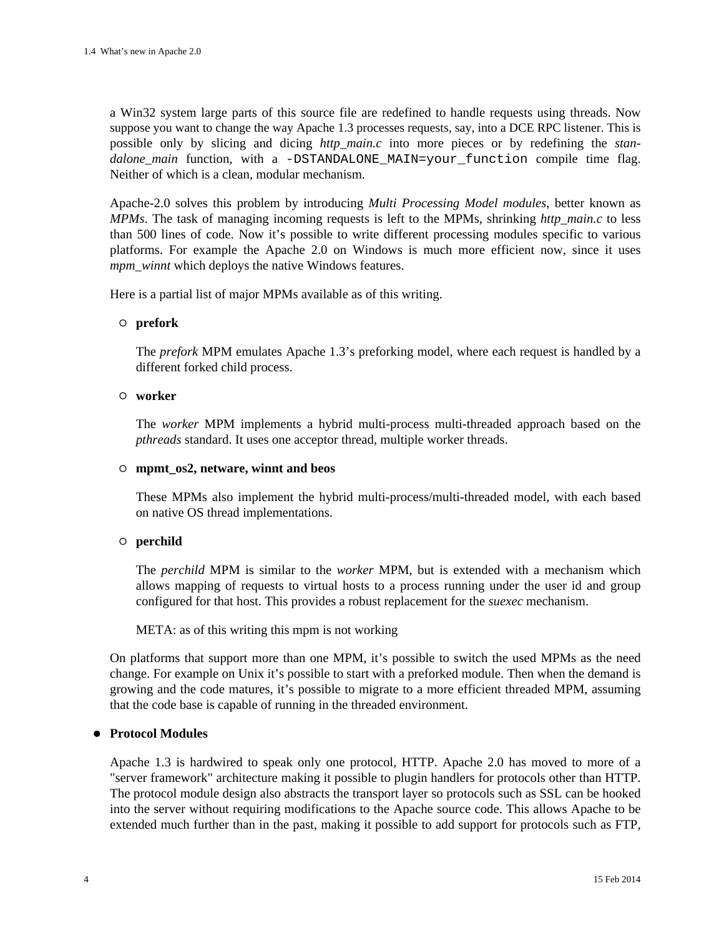a Win32 system large parts of this source file are redefined to handle requests using threads. Now suppose you want to change the way Apache 1.3 processes requests, say, into a DCE RPC listener. This is possible only by slicing and dicing *http\_main.c* into more pieces or by redefining the *standalone main* function, with a -DSTANDALONE MAIN=your function compile time flag. Neither of which is a clean, modular mechanism.

Apache-2.0 solves this problem by introducing *Multi Processing Model modules*, better known as *MPMs*. The task of managing incoming requests is left to the MPMs, shrinking *http\_main.c* to less than 500 lines of code. Now it's possible to write different processing modules specific to various platforms. For example the Apache 2.0 on Windows is much more efficient now, since it uses *mpm\_winnt* which deploys the native Windows features.

Here is a partial list of major MPMs available as of this writing.

#### **prefork**

The *prefork* MPM emulates Apache 1.3's preforking model, where each request is handled by a different forked child process.

#### **worker**

The *worker* MPM implements a hybrid multi-process multi-threaded approach based on the *pthreads* standard. It uses one acceptor thread, multiple worker threads.

#### **mpmt\_os2, netware, winnt and beos**

These MPMs also implement the hybrid multi-process/multi-threaded model, with each based on native OS thread implementations.

#### **perchild**

The *perchild* MPM is similar to the *worker* MPM, but is extended with a mechanism which allows mapping of requests to virtual hosts to a process running under the user id and group configured for that host. This provides a robust replacement for the *suexec* mechanism.

META: as of this writing this mpm is not working

On platforms that support more than one MPM, it's possible to switch the used MPMs as the need change. For example on Unix it's possible to start with a preforked module. Then when the demand is growing and the code matures, it's possible to migrate to a more efficient threaded MPM, assuming that the code base is capable of running in the threaded environment.

#### **Protocol Modules**

Apache 1.3 is hardwired to speak only one protocol, HTTP. Apache 2.0 has moved to more of a "server framework" architecture making it possible to plugin handlers for protocols other than HTTP. The protocol module design also abstracts the transport layer so protocols such as SSL can be hooked into the server without requiring modifications to the Apache source code. This allows Apache to be extended much further than in the past, making it possible to add support for protocols such as FTP,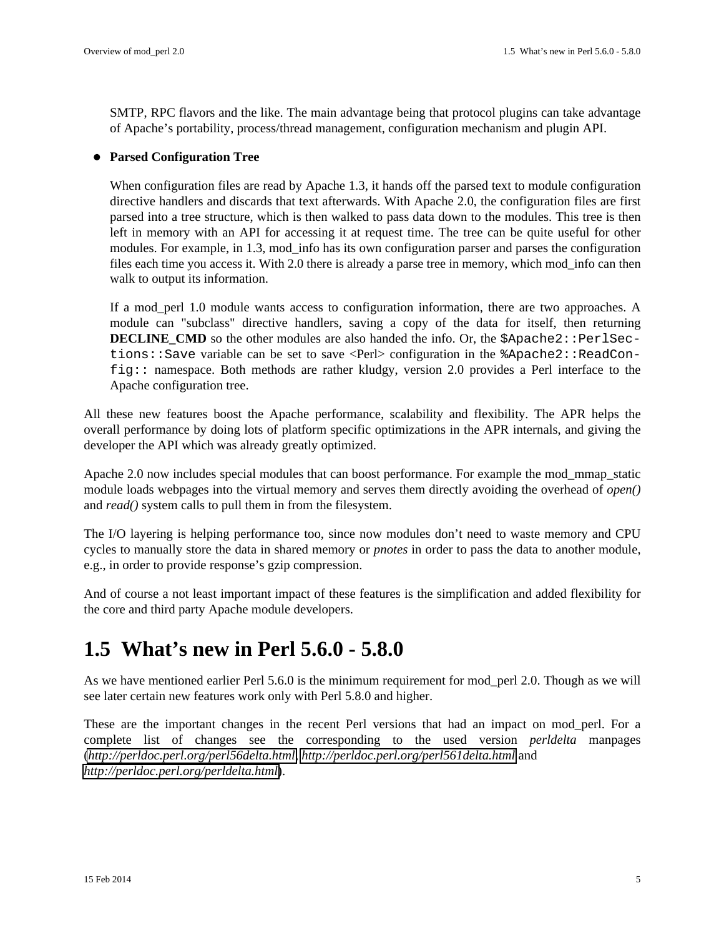SMTP, RPC flavors and the like. The main advantage being that protocol plugins can take advantage of Apache's portability, process/thread management, configuration mechanism and plugin API.

#### **Parsed Configuration Tree**

When configuration files are read by Apache 1.3, it hands off the parsed text to module configuration directive handlers and discards that text afterwards. With Apache 2.0, the configuration files are first parsed into a tree structure, which is then walked to pass data down to the modules. This tree is then left in memory with an API for accessing it at request time. The tree can be quite useful for other modules. For example, in 1.3, mod info has its own configuration parser and parses the configuration files each time you access it. With 2.0 there is already a parse tree in memory, which mod\_info can then walk to output its information.

If a mod perl 1.0 module wants access to configuration information, there are two approaches. A module can "subclass" directive handlers, saving a copy of the data for itself, then returning **DECLINE** CMD so the other modules are also handed the info. Or, the  $\frac{1}{2}$ Apache2::PerlSections: Save variable can be set to save <Perl> configuration in the  $\alpha$ Pache2: ReadConfig:: namespace. Both methods are rather kludgy, version 2.0 provides a Perl interface to the Apache configuration tree.

All these new features boost the Apache performance, scalability and flexibility. The APR helps the overall performance by doing lots of platform specific optimizations in the APR internals, and giving the developer the API which was already greatly optimized.

Apache 2.0 now includes special modules that can boost performance. For example the mod\_mmap\_static module loads webpages into the virtual memory and serves them directly avoiding the overhead of *open()* and *read()* system calls to pull them in from the filesystem.

The I/O layering is helping performance too, since now modules don't need to waste memory and CPU cycles to manually store the data in shared memory or *pnotes* in order to pass the data to another module, e.g., in order to provide response's gzip compression.

And of course a not least important impact of these features is the simplification and added flexibility for the core and third party Apache module developers.

## <span id="page-4-0"></span>**1.5 What's new in Perl 5.6.0 - 5.8.0**

As we have mentioned earlier Perl 5.6.0 is the minimum requirement for mod\_perl 2.0. Though as we will see later certain new features work only with Perl 5.8.0 and higher.

These are the important changes in the recent Perl versions that had an impact on mod\_perl. For a complete list of changes see the corresponding to the used version *perldelta* manpages (*<http://perldoc.perl.org/perl56delta.html>*, *<http://perldoc.perl.org/perl561delta.html>* and *<http://perldoc.perl.org/perldelta.html>*).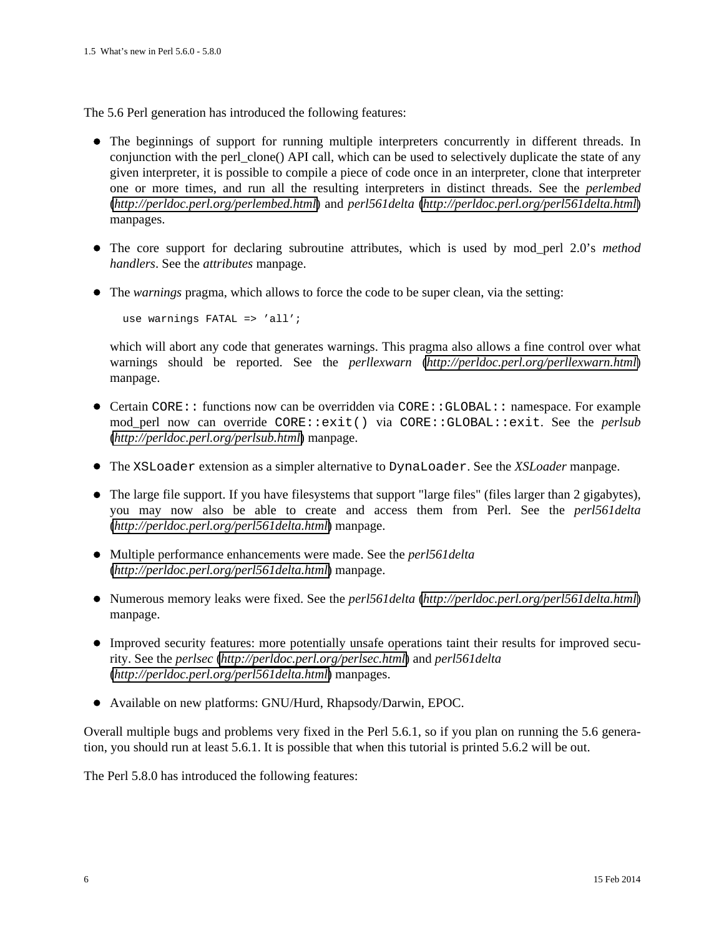The 5.6 Perl generation has introduced the following features:

- The beginnings of support for running multiple interpreters concurrently in different threads. In conjunction with the perl\_clone() API call, which can be used to selectively duplicate the state of any given interpreter, it is possible to compile a piece of code once in an interpreter, clone that interpreter one or more times, and run all the resulting interpreters in distinct threads. See the *perlembed* (*<http://perldoc.perl.org/perlembed.html>*) and *perl561delta* (*<http://perldoc.perl.org/perl561delta.html>*) manpages.
- The core support for declaring subroutine attributes, which is used by mod perl 2.0's *method handlers*. See the *attributes* manpage.
- The *warnings* pragma, which allows to force the code to be super clean, via the setting:

use warnings FATAL => 'all';

which will abort any code that generates warnings. This pragma also allows a fine control over what warnings should be reported. See the *perllexwarn* (*<http://perldoc.perl.org/perllexwarn.html>*) manpage.

- Certain CORE:: functions now can be overridden via CORE::GLOBAL:: namespace. For example mod\_perl now can override CORE::exit() via CORE::GLOBAL::exit. See the *perlsub* (*<http://perldoc.perl.org/perlsub.html>*) manpage.
- The XSLoader extension as a simpler alternative to DynaLoader. See the *XSLoader* manpage.
- The large file support. If you have filesystems that support "large files" (files larger than 2 gigabytes), you may now also be able to create and access them from Perl. See the *perl561delta* (*<http://perldoc.perl.org/perl561delta.html>*) manpage.
- Multiple performance enhancements were made. See the *perl561delta* (*<http://perldoc.perl.org/perl561delta.html>*) manpage.
- Numerous memory leaks were fixed. See the *perl561delta* (*<http://perldoc.perl.org/perl561delta.html>*) manpage.
- Improved security features: more potentially unsafe operations taint their results for improved security. See the *perlsec* (*<http://perldoc.perl.org/perlsec.html>*) and *perl561delta* (*<http://perldoc.perl.org/perl561delta.html>*) manpages.
- Available on new platforms: GNU/Hurd, Rhapsody/Darwin, EPOC.

Overall multiple bugs and problems very fixed in the Perl 5.6.1, so if you plan on running the 5.6 generation, you should run at least 5.6.1. It is possible that when this tutorial is printed 5.6.2 will be out.

The Perl 5.8.0 has introduced the following features: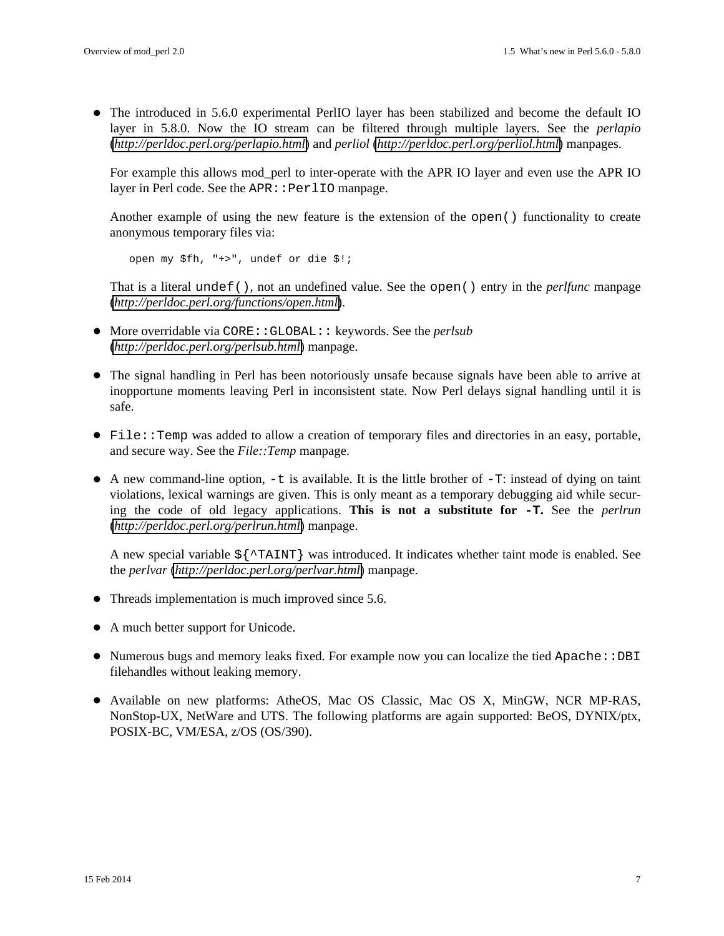The introduced in 5.6.0 experimental PerlIO layer has been stabilized and become the default IO layer in 5.8.0. Now the IO stream can be filtered through multiple layers. See the *perlapio* (*<http://perldoc.perl.org/perlapio.html>*) and *perliol* (*<http://perldoc.perl.org/perliol.html>*) manpages.

For example this allows mod\_perl to inter-operate with the APR IO layer and even use the APR IO layer in Perl code. See the APR:: PerlIO manpage.

Another example of using the new feature is the extension of the open() functionality to create anonymous temporary files via:

open my \$fh, "+>", undef or die \$!;

That is a literal undef(), not an undefined value. See the open() entry in the *perlfunc* manpage (*<http://perldoc.perl.org/functions/open.html>*).

- More overridable via CORE::GLOBAL:: keywords. See the *perlsub* (*<http://perldoc.perl.org/perlsub.html>*) manpage.
- The signal handling in Perl has been notoriously unsafe because signals have been able to arrive at inopportune moments leaving Perl in inconsistent state. Now Perl delays signal handling until it is safe.
- File::Temp was added to allow a creation of temporary files and directories in an easy, portable, and secure way. See the *File::Temp* manpage.
- $\bullet$  A new command-line option,  $-t$  is available. It is the little brother of  $-T$ : instead of dying on taint violations, lexical warnings are given. This is only meant as a temporary debugging aid while securing the code of old legacy applications. **This is not a substitute for -T.** See the *perlrun* (*<http://perldoc.perl.org/perlrun.html>*) manpage.

A new special variable  $\frac{1}{2}$   $\frac{1}{2}$  was introduced. It indicates whether taint mode is enabled. See the *perlvar* (*<http://perldoc.perl.org/perlvar.html>*) manpage.

- Threads implementation is much improved since 5.6.
- A much better support for Unicode.
- Numerous bugs and memory leaks fixed. For example now you can localize the tied Apache::DBI filehandles without leaking memory.
- Available on new platforms: AtheOS, Mac OS Classic, Mac OS X, MinGW, NCR MP-RAS, NonStop-UX, NetWare and UTS. The following platforms are again supported: BeOS, DYNIX/ptx, POSIX-BC, VM/ESA, z/OS (OS/390).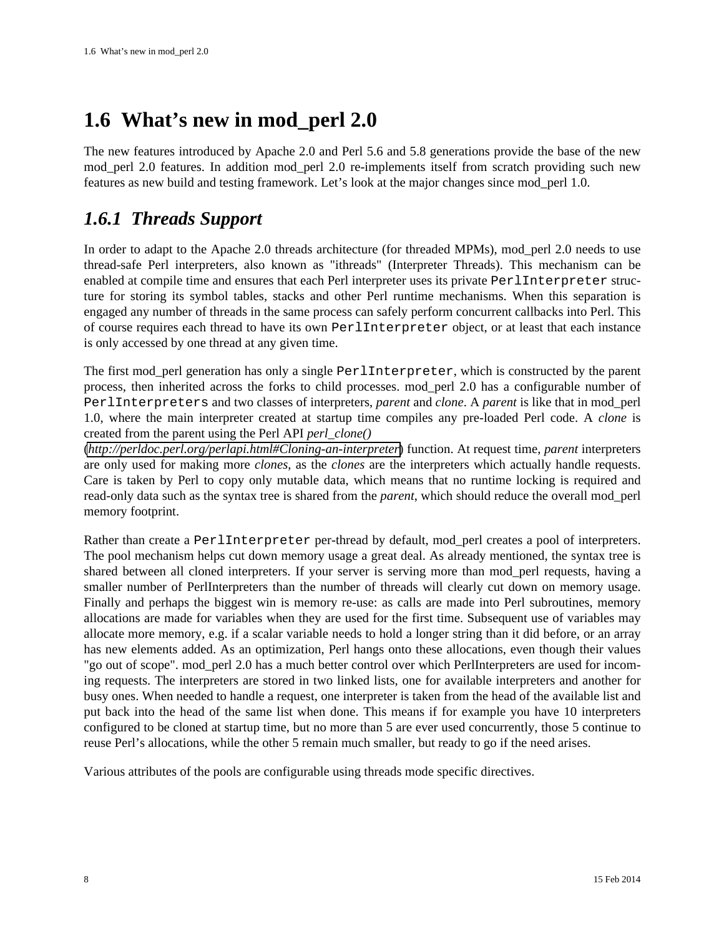# <span id="page-7-0"></span>**1.6 What's new in mod\_perl 2.0**

The new features introduced by Apache 2.0 and Perl 5.6 and 5.8 generations provide the base of the new mod\_perl 2.0 features. In addition mod\_perl 2.0 re-implements itself from scratch providing such new features as new build and testing framework. Let's look at the major changes since mod\_perl 1.0.

### <span id="page-7-1"></span>*1.6.1 Threads Support*

In order to adapt to the Apache 2.0 threads architecture (for threaded MPMs), mod\_perl 2.0 needs to use thread-safe Perl interpreters, also known as "ithreads" (Interpreter Threads). This mechanism can be enabled at compile time and ensures that each Perl interpreter uses its private PerlInterpreter structure for storing its symbol tables, stacks and other Perl runtime mechanisms. When this separation is engaged any number of threads in the same process can safely perform concurrent callbacks into Perl. This of course requires each thread to have its own PerlInterpreter object, or at least that each instance is only accessed by one thread at any given time.

The first mod\_perl generation has only a single PerlInterpreter, which is constructed by the parent process, then inherited across the forks to child processes. mod\_perl 2.0 has a configurable number of PerlInterpreters and two classes of interpreters, *parent* and *clone*. A *parent* is like that in mod\_perl 1.0, where the main interpreter created at startup time compiles any pre-loaded Perl code. A *clone* is created from the parent using the Perl API *perl\_clone()*

(*<http://perldoc.perl.org/perlapi.html#Cloning-an-interpreter>*) function. At request time, *parent* interpreters are only used for making more *clones*, as the *clones* are the interpreters which actually handle requests. Care is taken by Perl to copy only mutable data, which means that no runtime locking is required and read-only data such as the syntax tree is shared from the *parent*, which should reduce the overall mod\_perl memory footprint.

Rather than create a PerlInterpreter per-thread by default, mod\_perl creates a pool of interpreters. The pool mechanism helps cut down memory usage a great deal. As already mentioned, the syntax tree is shared between all cloned interpreters. If your server is serving more than mod\_perl requests, having a smaller number of PerlInterpreters than the number of threads will clearly cut down on memory usage. Finally and perhaps the biggest win is memory re-use: as calls are made into Perl subroutines, memory allocations are made for variables when they are used for the first time. Subsequent use of variables may allocate more memory, e.g. if a scalar variable needs to hold a longer string than it did before, or an array has new elements added. As an optimization, Perl hangs onto these allocations, even though their values "go out of scope". mod\_perl 2.0 has a much better control over which PerlInterpreters are used for incoming requests. The interpreters are stored in two linked lists, one for available interpreters and another for busy ones. When needed to handle a request, one interpreter is taken from the head of the available list and put back into the head of the same list when done. This means if for example you have 10 interpreters configured to be cloned at startup time, but no more than 5 are ever used concurrently, those 5 continue to reuse Perl's allocations, while the other 5 remain much smaller, but ready to go if the need arises.

Various attributes of the pools are configurable using threads mode specific directives.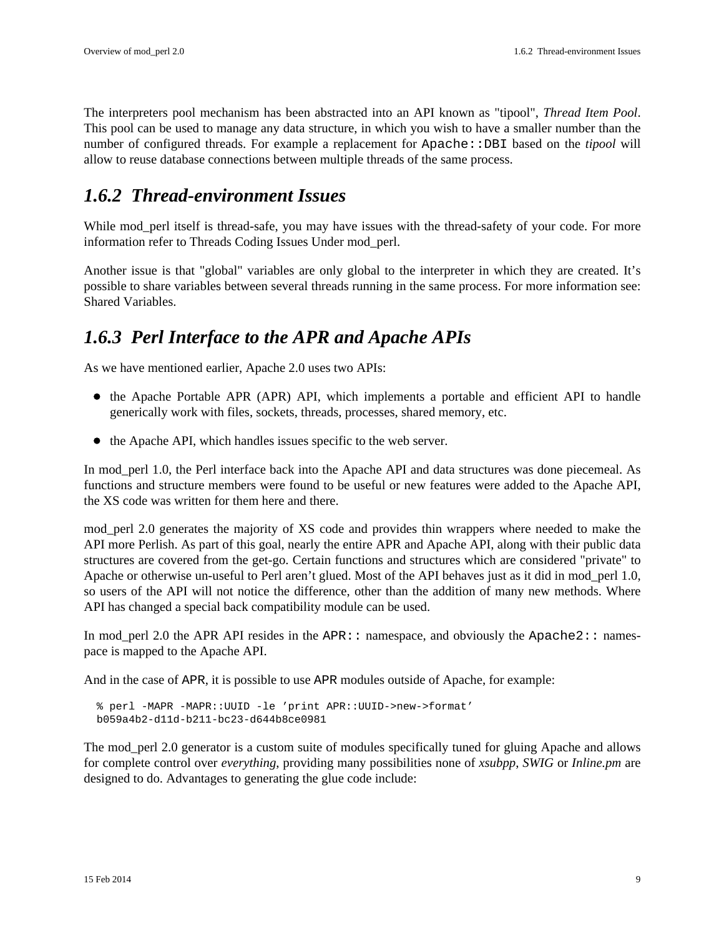The interpreters pool mechanism has been abstracted into an API known as "tipool", *Thread Item Pool*. This pool can be used to manage any data structure, in which you wish to have a smaller number than the number of configured threads. For example a replacement for Apache: :DBI based on the *tipool* will allow to reuse database connections between multiple threads of the same process.

### <span id="page-8-0"></span>*1.6.2 Thread-environment Issues*

While mod\_perl itself is thread-safe, you may have issues with the thread-safety of your code. For more information refer to Threads Coding Issues Under mod\_perl.

Another issue is that "global" variables are only global to the interpreter in which they are created. It's possible to share variables between several threads running in the same process. For more information see: Shared Variables.

### <span id="page-8-1"></span>*1.6.3 Perl Interface to the APR and Apache APIs*

As we have mentioned earlier, Apache 2.0 uses two APIs:

- the Apache Portable APR (APR) API, which implements a portable and efficient API to handle generically work with files, sockets, threads, processes, shared memory, etc.
- the Apache API, which handles issues specific to the web server.

In mod\_perl 1.0, the Perl interface back into the Apache API and data structures was done piecemeal. As functions and structure members were found to be useful or new features were added to the Apache API, the XS code was written for them here and there.

mod perl 2.0 generates the majority of XS code and provides thin wrappers where needed to make the API more Perlish. As part of this goal, nearly the entire APR and Apache API, along with their public data structures are covered from the get-go. Certain functions and structures which are considered "private" to Apache or otherwise un-useful to Perl aren't glued. Most of the API behaves just as it did in mod\_perl 1.0, so users of the API will not notice the difference, other than the addition of many new methods. Where API has changed a special back compatibility module can be used.

In mod\_perl 2.0 the APR API resides in the  $APR:$ : namespace, and obviously the  $Apache2:$ : namespace is mapped to the Apache API.

And in the case of APR, it is possible to use APR modules outside of Apache, for example:

```
 % perl -MAPR -MAPR::UUID -le 'print APR::UUID->new->format'
b059a4b2-d11d-b211-bc23-d644b8ce0981
```
The mod\_perl 2.0 generator is a custom suite of modules specifically tuned for gluing Apache and allows for complete control over *everything*, providing many possibilities none of *xsubpp*, *SWIG* or *Inline.pm* are designed to do. Advantages to generating the glue code include: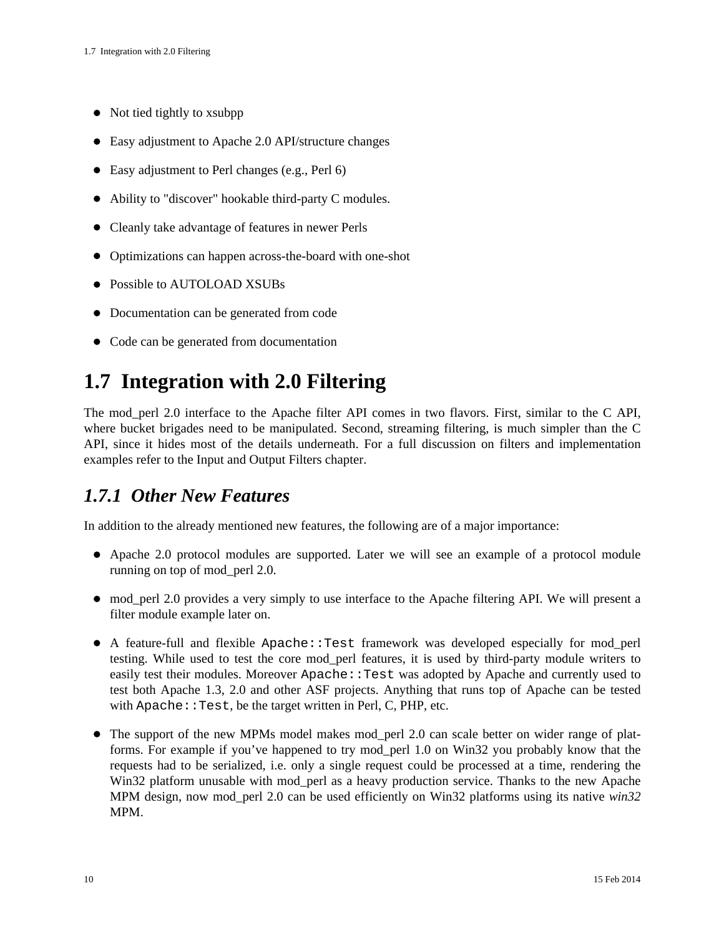- Not tied tightly to x subpp
- Easy adjustment to Apache 2.0 API/structure changes
- Easy adjustment to Perl changes (e.g., Perl 6)
- Ability to "discover" hookable third-party C modules.
- Cleanly take advantage of features in newer Perls
- Optimizations can happen across-the-board with one-shot
- Possible to AUTOLOAD XSUBs
- Documentation can be generated from code
- Code can be generated from documentation

### <span id="page-9-0"></span>**1.7 Integration with 2.0 Filtering**

The mod\_perl 2.0 interface to the Apache filter API comes in two flavors. First, similar to the C API, where bucket brigades need to be manipulated. Second, streaming filtering, is much simpler than the C API, since it hides most of the details underneath. For a full discussion on filters and implementation examples refer to the Input and Output Filters chapter.

### <span id="page-9-1"></span>*1.7.1 Other New Features*

In addition to the already mentioned new features, the following are of a major importance:

- Apache 2.0 protocol modules are supported. Later we will see an example of a protocol module running on top of mod\_perl 2.0.
- mod\_perl 2.0 provides a very simply to use interface to the Apache filtering API. We will present a filter module example later on.
- A feature-full and flexible Apache::Test framework was developed especially for mod\_perl testing. While used to test the core mod\_perl features, it is used by third-party module writers to easily test their modules. Moreover Apache: : Test was adopted by Apache and currently used to test both Apache 1.3, 2.0 and other ASF projects. Anything that runs top of Apache can be tested with Apache: : Test, be the target written in Perl, C, PHP, etc.
- The support of the new MPMs model makes mod\_perl 2.0 can scale better on wider range of platforms. For example if you've happened to try mod\_perl 1.0 on Win32 you probably know that the requests had to be serialized, i.e. only a single request could be processed at a time, rendering the Win32 platform unusable with mod perl as a heavy production service. Thanks to the new Apache MPM design, now mod\_perl 2.0 can be used efficiently on Win32 platforms using its native *win32* MPM.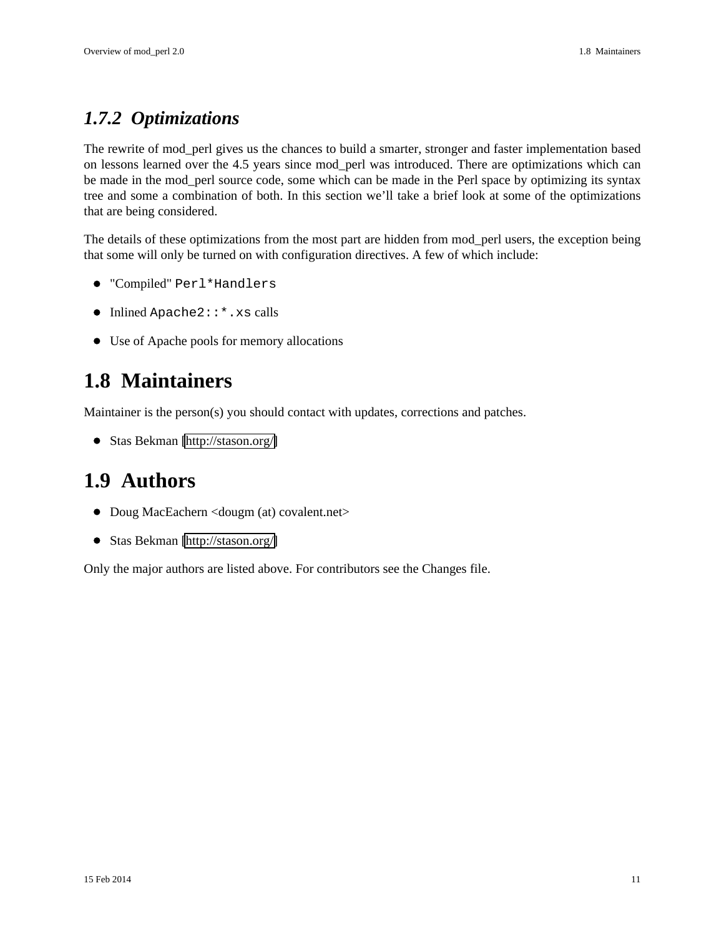### <span id="page-10-0"></span>*1.7.2 Optimizations*

The rewrite of mod\_perl gives us the chances to build a smarter, stronger and faster implementation based on lessons learned over the 4.5 years since mod\_perl was introduced. There are optimizations which can be made in the mod\_perl source code, some which can be made in the Perl space by optimizing its syntax tree and some a combination of both. In this section we'll take a brief look at some of the optimizations that are being considered.

The details of these optimizations from the most part are hidden from mod\_perl users, the exception being that some will only be turned on with configuration directives. A few of which include:

- "Compiled" Perl\*Handlers
- Inlined Apache2::\*.xs calls
- Use of Apache pools for memory allocations

## <span id="page-10-1"></span>**1.8 Maintainers**

Maintainer is the person(s) you should contact with updates, corrections and patches.

Stas Bekman [\[http://stason.org/\]](http://stason.org/)

### <span id="page-10-2"></span>**1.9 Authors**

- Doug MacEachern <dougm (at) covalent.net>
- Stas Bekman [\[http://stason.org/\]](http://stason.org/)

Only the major authors are listed above. For contributors see the Changes file.